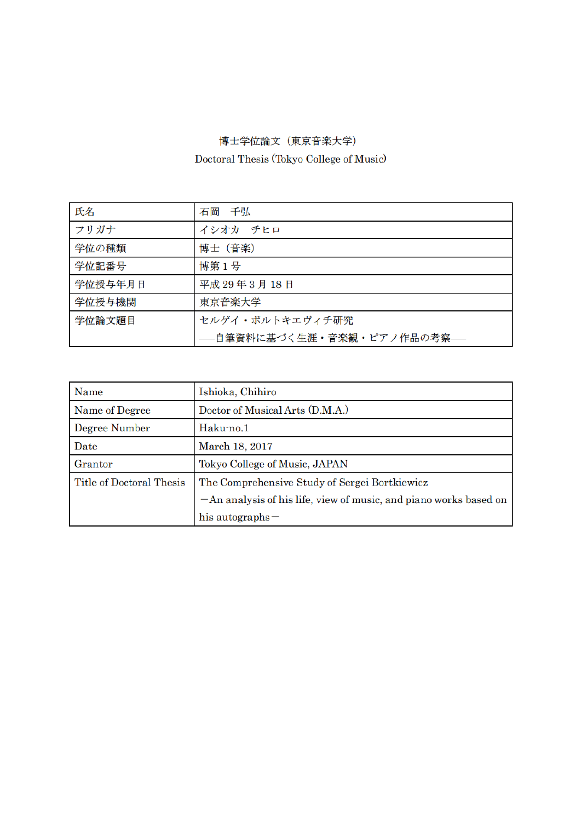## 博士学位論文(東京音楽大学)

Doctoral Thesis (Tokyo College of Music)

| 氏名      | 石岡 千弘                       |
|---------|-----------------------------|
| フリガナ    | イシオカ チヒロ                    |
| 学位の種類   | 博士 (音楽)                     |
| 学位記番号   | 博第1号                        |
| 学位授与年月日 | 平成 29年3月18日                 |
| 学位授与機関  | 東京音楽大学                      |
| 学位論文題目  | セルゲイ・ボルトキエヴィチ研究             |
|         | --自筆資料に基づく生涯・音楽観・ピアノ作品の考察-- |

| Name                     | Ishioka, Chihiro                                                    |
|--------------------------|---------------------------------------------------------------------|
| Name of Degree           | Doctor of Musical Arts (D.M.A.)                                     |
| Degree Number            | Haku-no.1                                                           |
| Date                     | March 18, 2017                                                      |
| Grantor                  | Tokyo College of Music, JAPAN                                       |
| Title of Doctoral Thesis | The Comprehensive Study of Sergei Bortkiewicz                       |
|                          | $-An$ analysis of his life, view of music, and piano works based on |
|                          | his autographs $-$                                                  |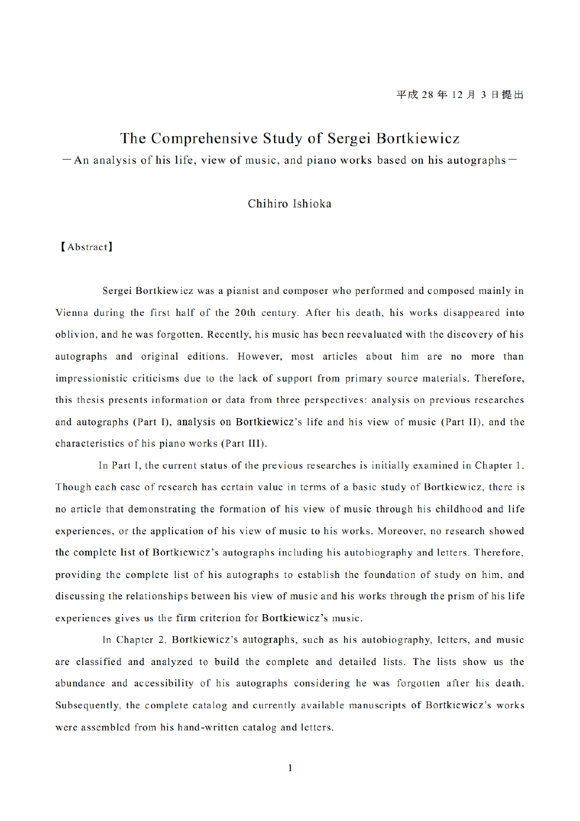## The Comprehensive Study of Sergei Bortkiewicz

 $-$  An analysis of his life, view of music, and piano works based on his autographs $-$ 

## Chihiro Ishioka

## [Abstract]

Sergei Bortkiewicz was a pianist and composer who performed and composed mainly in Vienna during the first half of the 20th century. After his death, his works disappeared into oblivion, and he was forgotten. Recently, his music has been reevaluated with the discovery of his autographs and original editions. However, most articles about him are no more than impressionistic criticisms due to the lack of support from primary source materials. Therefore, this thesis presents information or data from three perspectives: analysis on previous researches and autographs (Part I), analysis on Bortkiewicz's life and his view of music (Part II), and the characteristics of his piano works(Part III)

In Part I, the current status of the previous researches is initially examined in Chapter 1. Though each case of research has certain value in terms of a basic study of Bortkiewicz, there is no article that demonstrating the formation of his view of music through his childhood and life experiences, or the application of his view of music to his works. Moreover, no research showed the complete list of Bortkiewicz'autographs including his autobiography and letters. Therefore, providing the complete list of his autographs to establish the foundation of study on him, and discussing the relationships between his view of music and his works through the prism of his life experiences gives us the firm criterion for Bortkiewicz's music.

In Chapter 2, Bortkiewicz's autographs, such as his autobiography, letters, and music are classified and analyzed to build the complete and detailed lists. The lists show us the abundance and accessibility of his autographs considering he was forgotten after his death. Subsequently, the complete catalog and currently available manuscripts of Bortkiewicz's works were assembled from his hand-written catalog and letters.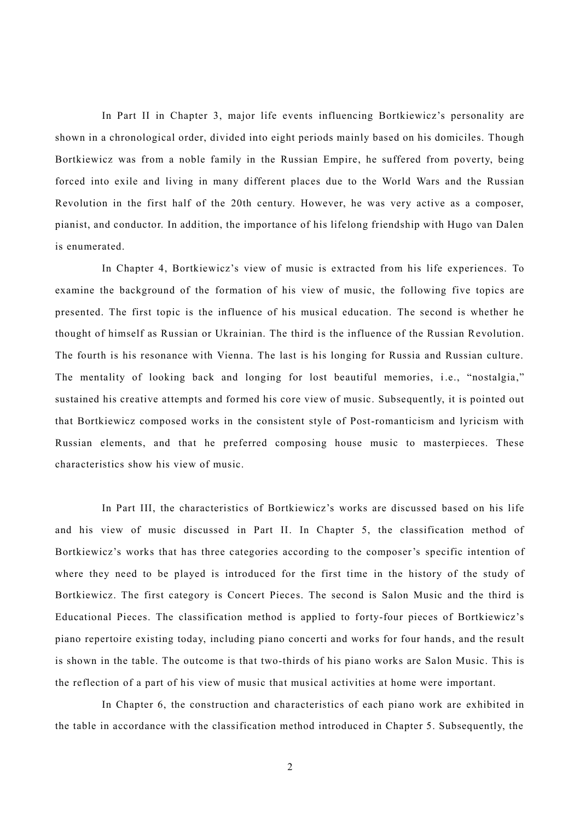In Part II in Chapter 3, major life events influencing Bortkiewicz's personality are shown in a chronological order, divided into eight periods mainly based on his domiciles. Though Bortkiewicz was from a noble family in the Russian Empire, he suffered from poverty, being forced into exile and living in many different places due to the World Wars and the Russian Revolution in the first half of the 20th century. However, he was very active as a composer, pianist, and conductor. In addition, the importance of his lifelong friendship with Hugo van Dalen is enumerated.

In Chapter 4, Bortkiewicz's view of music is extracted from his life experiences. To examine the background of the formation of his view of music, the following five topics are presented. The first topic is the influence of his musical education. The second is whether he thought of himself as Russian or Ukrainian. The third is the influence of the Russian Revolution. The fourth is his resonance with Vienna. The last is his longing for Russia and Russian culture. The mentality of looking back and longing for lost beautiful memories, i.e., "nostalgia," sustained his creative attempts and formed his core view of music. Subsequently, it is pointed out that Bortkiewicz composed works in the consistent style of Post-romanticism and lyricism with Russian elements, and that he preferred composing house music to masterpieces. These characteristics show his view of music.

In Part III, the characteristics of Bortkiewicz's works are discussed based on his life and his view of music discussed in Part II. In Chapter 5, the classification method of Bortkiewicz's works that has three categories according to the composer's specific intention of where they need to be played is introduced for the first time in the history of the study of Bortkiewicz. The first category is Concert Pieces. The second is Salon Music and the third is Educational Pieces. The classification method is applied to forty-four pieces of Bortkiewicz's piano repertoire existing today, including piano concerti and works for four hands, and the result is shown in the table. The outcome is that two-thirds of his piano works are Salon Music. This is the reflection of a part of his view of music that musical activities at home were important.

In Chapter 6, the construction and characteristics of each piano work are exhibited in the table in accordance with the classification method introduced in Chapter 5. Subsequently, the